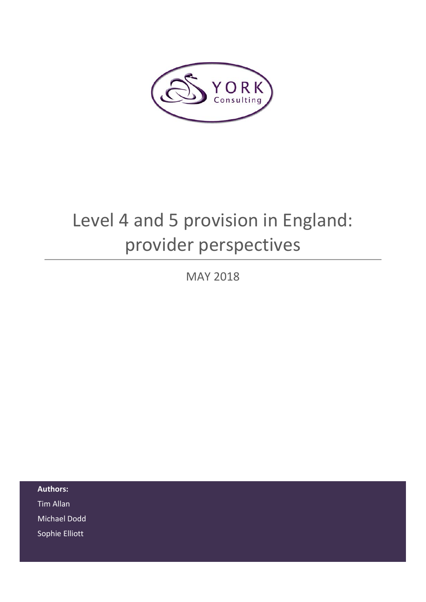

# Level 4 and 5 provision in England: provider perspectives

MAY 2018

**Authors:**  Tim Allan Michael Dodd Sophie Elliott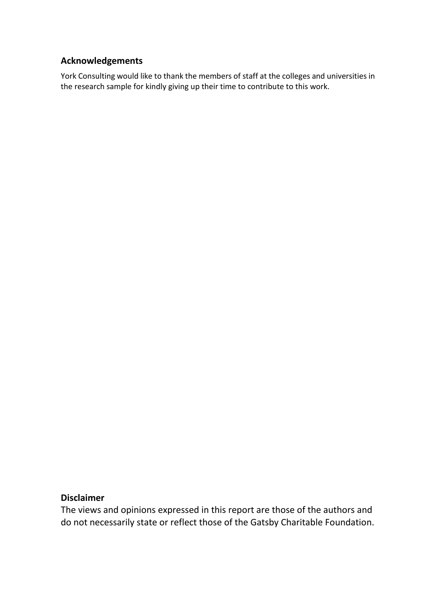# **Acknowledgements**

York Consulting would like to thank the members of staff at the colleges and universities in the research sample for kindly giving up their time to contribute to this work.

## **Disclaimer**

The views and opinions expressed in this report are those of the authors and do not necessarily state or reflect those of the Gatsby Charitable Foundation.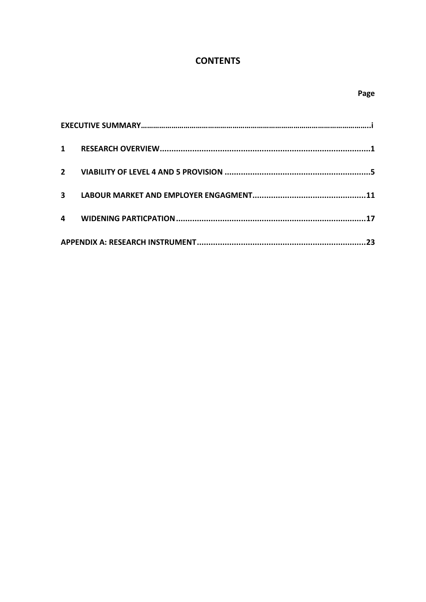# **CONTENTS**

| $\overline{\mathbf{3}}$ |  |  |  |  |  |
|-------------------------|--|--|--|--|--|
| 4                       |  |  |  |  |  |
|                         |  |  |  |  |  |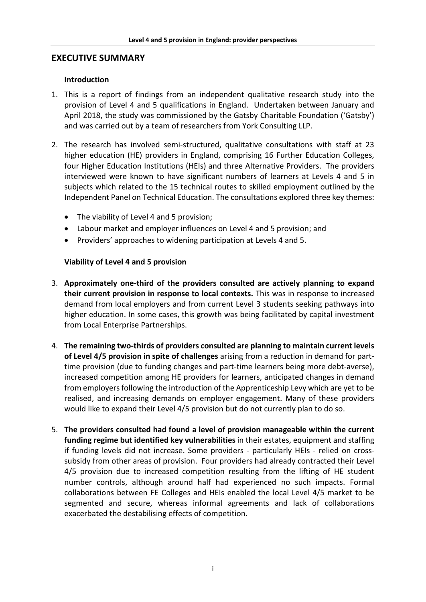#### **EXECUTIVE SUMMARY**

#### **Introduction**

- 1. This is a report of findings from an independent qualitative research study into the provision of Level 4 and 5 qualifications in England. Undertaken between January and April 2018, the study was commissioned by the Gatsby Charitable Foundation ('Gatsby') and was carried out by a team of researchers from York Consulting LLP.
- 2. The research has involved semi-structured, qualitative consultations with staff at 23 higher education (HE) providers in England, comprising 16 Further Education Colleges, four Higher Education Institutions (HEIs) and three Alternative Providers. The providers interviewed were known to have significant numbers of learners at Levels 4 and 5 in subjects which related to the 15 technical routes to skilled employment outlined by the Independent Panel on Technical Education. The consultations explored three key themes:
	- The viability of Level 4 and 5 provision;
	- Labour market and employer influences on Level 4 and 5 provision; and
	- Providers' approaches to widening participation at Levels 4 and 5.

#### **Viability of Level 4 and 5 provision**

- 3. **Approximately one-third of the providers consulted are actively planning to expand their current provision in response to local contexts.** This was in response to increased demand from local employers and from current Level 3 students seeking pathways into higher education. In some cases, this growth was being facilitated by capital investment from Local Enterprise Partnerships.
- 4. **The remaining two-thirds of providers consulted are planning to maintain current levels of Level 4/5 provision in spite of challenges** arising from a reduction in demand for parttime provision (due to funding changes and part-time learners being more debt-averse), increased competition among HE providers for learners, anticipated changes in demand from employers following the introduction of the Apprenticeship Levy which are yet to be realised, and increasing demands on employer engagement. Many of these providers would like to expand their Level 4/5 provision but do not currently plan to do so.
- 5. **The providers consulted had found a level of provision manageable within the current funding regime but identified key vulnerabilities** in their estates, equipment and staffing if funding levels did not increase. Some providers - particularly HEIs - relied on crosssubsidy from other areas of provision. Four providers had already contracted their Level 4/5 provision due to increased competition resulting from the lifting of HE student number controls, although around half had experienced no such impacts. Formal collaborations between FE Colleges and HEIs enabled the local Level 4/5 market to be segmented and secure, whereas informal agreements and lack of collaborations exacerbated the destabilising effects of competition.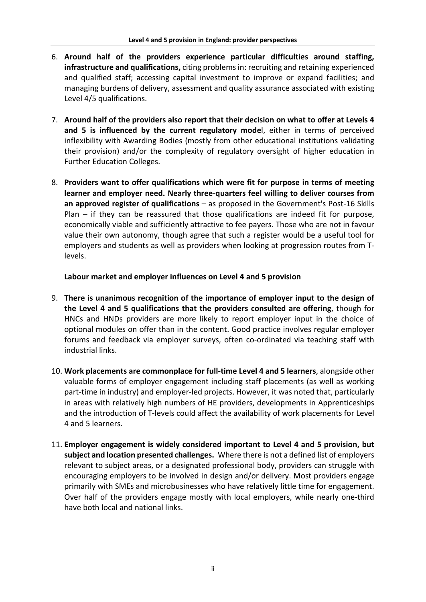- 6. **Around half of the providers experience particular difficulties around staffing, infrastructure and qualifications,** citing problems in: recruiting and retaining experienced and qualified staff; accessing capital investment to improve or expand facilities; and managing burdens of delivery, assessment and quality assurance associated with existing Level 4/5 qualifications.
- 7. **Around half of the providers also report that their decision on what to offer at Levels 4 and 5 is influenced by the current regulatory mode**l, either in terms of perceived inflexibility with Awarding Bodies (mostly from other educational institutions validating their provision) and/or the complexity of regulatory oversight of higher education in Further Education Colleges.
- 8. **Providers want to offer qualifications which were fit for purpose in terms of meeting learner and employer need. Nearly three-quarters feel willing to deliver courses from an approved register of qualifications** – as proposed in the Government's Post-16 Skills Plan – if they can be reassured that those qualifications are indeed fit for purpose, economically viable and sufficiently attractive to fee payers. Those who are not in favour value their own autonomy, though agree that such a register would be a useful tool for employers and students as well as providers when looking at progression routes from Tlevels.

# **Labour market and employer influences on Level 4 and 5 provision**

- 9. **There is unanimous recognition of the importance of employer input to the design of the Level 4 and 5 qualifications that the providers consulted are offering**, though for HNCs and HNDs providers are more likely to report employer input in the choice of optional modules on offer than in the content. Good practice involves regular employer forums and feedback via employer surveys, often co-ordinated via teaching staff with industrial links.
- 10. **Work placements are commonplace for full-time Level 4 and 5 learners**, alongside other valuable forms of employer engagement including staff placements (as well as working part-time in industry) and employer-led projects. However, it was noted that, particularly in areas with relatively high numbers of HE providers, developments in Apprenticeships and the introduction of T-levels could affect the availability of work placements for Level 4 and 5 learners.
- 11. **Employer engagement is widely considered important to Level 4 and 5 provision, but subject and location presented challenges.** Where there is not a defined list of employers relevant to subject areas, or a designated professional body, providers can struggle with encouraging employers to be involved in design and/or delivery. Most providers engage primarily with SMEs and microbusinesses who have relatively little time for engagement. Over half of the providers engage mostly with local employers, while nearly one-third have both local and national links.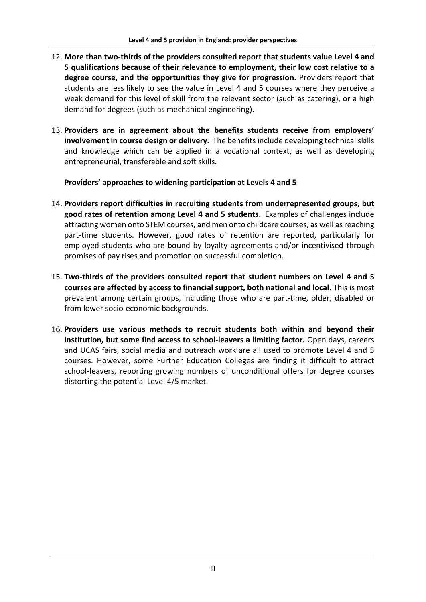- 12. **More than two-thirds of the providers consulted report that students value Level 4 and 5 qualifications because of their relevance to employment, their low cost relative to a degree course, and the opportunities they give for progression.** Providers report that students are less likely to see the value in Level 4 and 5 courses where they perceive a weak demand for this level of skill from the relevant sector (such as catering), or a high demand for degrees (such as mechanical engineering).
- 13. **Providers are in agreement about the benefits students receive from employers' involvement in course design or delivery.** The benefits include developing technical skills and knowledge which can be applied in a vocational context, as well as developing entrepreneurial, transferable and soft skills.

#### **Providers' approaches to widening participation at Levels 4 and 5**

- 14. **Providers report difficulties in recruiting students from underrepresented groups, but good rates of retention among Level 4 and 5 students**. Examples of challenges include attracting women onto STEM courses, and men onto childcare courses, as well as reaching part-time students. However, good rates of retention are reported, particularly for employed students who are bound by loyalty agreements and/or incentivised through promises of pay rises and promotion on successful completion.
- 15. **Two-thirds of the providers consulted report that student numbers on Level 4 and 5 courses are affected by access to financial support, both national and local.** This is most prevalent among certain groups, including those who are part-time, older, disabled or from lower socio-economic backgrounds.
- 16. **Providers use various methods to recruit students both within and beyond their institution, but some find access to school-leavers a limiting factor.** Open days, careers and UCAS fairs, social media and outreach work are all used to promote Level 4 and 5 courses. However, some Further Education Colleges are finding it difficult to attract school-leavers, reporting growing numbers of unconditional offers for degree courses distorting the potential Level 4/5 market.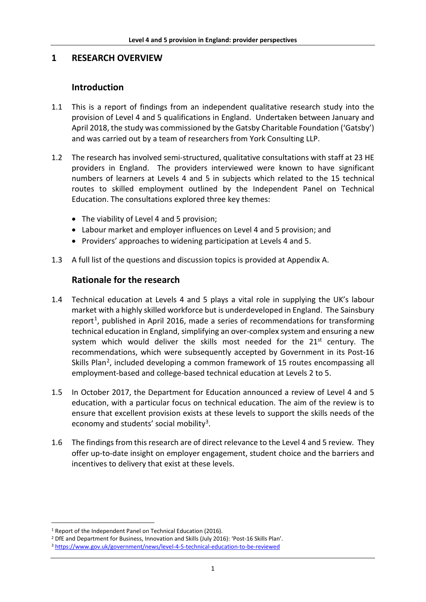# **1 RESEARCH OVERVIEW**

# **Introduction**

- 1.1 This is a report of findings from an independent qualitative research study into the provision of Level 4 and 5 qualifications in England. Undertaken between January and April 2018, the study was commissioned by the Gatsby Charitable Foundation ('Gatsby') and was carried out by a team of researchers from York Consulting LLP.
- 1.2 The research has involved semi-structured, qualitative consultations with staff at 23 HE providers in England. The providers interviewed were known to have significant numbers of learners at Levels 4 and 5 in subjects which related to the 15 technical routes to skilled employment outlined by the Independent Panel on Technical Education. The consultations explored three key themes:
	- The viability of Level 4 and 5 provision;
	- Labour market and employer influences on Level 4 and 5 provision; and
	- Providers' approaches to widening participation at Levels 4 and 5.
- 1.3 A full list of the questions and discussion topics is provided at Appendix A.

# **Rationale for the research**

- 1.4 Technical education at Levels 4 and 5 plays a vital role in supplying the UK's labour market with a highly skilled workforce but is underdeveloped in England. The Sainsbury report<sup>1</sup>, published in April 2016, made a series of recommendations for transforming technical education in England, simplifying an over-complex system and ensuring a new system which would deliver the skills most needed for the 21<sup>st</sup> century. The recommendations, which were subsequently accepted by Government in its Post-16 Skills Plan[2](#page-8-1), included developing a common framework of 15 routes encompassing all employment-based and college-based technical education at Levels 2 to 5.
- 1.5 In October 2017, the Department for Education announced a review of Level 4 and 5 education, with a particular focus on technical education. The aim of the review is to ensure that excellent provision exists at these levels to support the skills needs of the economy and students' social mobility<sup>3</sup>.
- 1.6 The findings from this research are of direct relevance to the Level 4 and 5 review. They offer up-to-date insight on employer engagement, student choice and the barriers and incentives to delivery that exist at these levels.

<span id="page-8-0"></span> <sup>1</sup> Report of the Independent Panel on Technical Education (2016).

<span id="page-8-1"></span><sup>2</sup> DfE and Department for Business, Innovation and Skills (July 2016): 'Post-16 Skills Plan'.

<span id="page-8-2"></span><sup>3</sup> <https://www.gov.uk/government/news/level-4-5-technical-education-to-be-reviewed>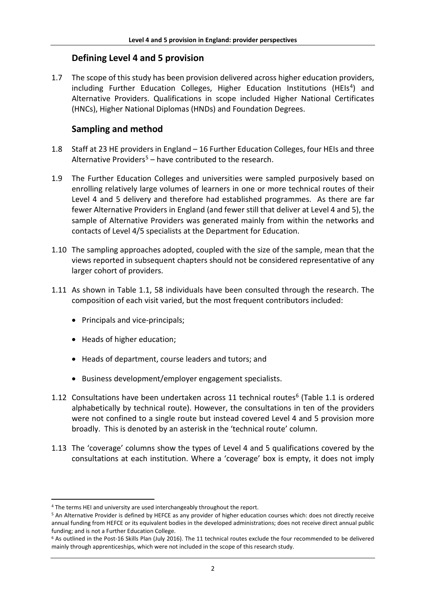# **Defining Level 4 and 5 provision**

1.7 The scope of this study has been provision delivered across higher education providers, including Further Education Colleges, Higher Education Institutions (HEIs<sup>4</sup>) and Alternative Providers. Qualifications in scope included Higher National Certificates (HNCs), Higher National Diplomas (HNDs) and Foundation Degrees.

# **Sampling and method**

- 1.8 Staff at 23 HE providers in England 16 Further Education Colleges, four HEIs and three Alternative Providers<sup>[5](#page-9-1)</sup> – have contributed to the research.
- 1.9 The Further Education Colleges and universities were sampled purposively based on enrolling relatively large volumes of learners in one or more technical routes of their Level 4 and 5 delivery and therefore had established programmes. As there are far fewer Alternative Providers in England (and fewer still that deliver at Level 4 and 5), the sample of Alternative Providers was generated mainly from within the networks and contacts of Level 4/5 specialists at the Department for Education.
- 1.10 The sampling approaches adopted, coupled with the size of the sample, mean that the views reported in subsequent chapters should not be considered representative of any larger cohort of providers.
- 1.11 As shown in Table 1.1, 58 individuals have been consulted through the research. The composition of each visit varied, but the most frequent contributors included:
	- Principals and vice-principals;
	- Heads of higher education;
	- Heads of department, course leaders and tutors; and
	- Business development/employer engagement specialists.
- 1.12 Consultations have been undertaken across 11 technical routes $6$  (Table 1.1 is ordered alphabetically by technical route). However, the consultations in ten of the providers were not confined to a single route but instead covered Level 4 and 5 provision more broadly. This is denoted by an asterisk in the 'technical route' column.
- 1.13 The 'coverage' columns show the types of Level 4 and 5 qualifications covered by the consultations at each institution. Where a 'coverage' box is empty, it does not imply

<span id="page-9-0"></span> <sup>4</sup> The terms HEI and university are used interchangeably throughout the report.

<span id="page-9-1"></span><sup>5</sup> An Alternative Provider is defined by HEFCE as any provider of higher education courses which: does not directly receive annual funding from HEFCE or its equivalent bodies in the developed administrations; does not receive direct annual public funding; and is not a Further Education College.

<span id="page-9-2"></span><sup>6</sup> As outlined in the Post-16 Skills Plan (July 2016). The 11 technical routes exclude the four recommended to be delivered mainly through apprenticeships, which were not included in the scope of this research study.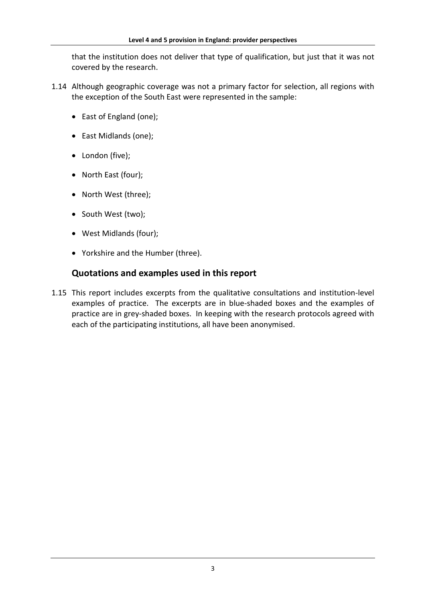that the institution does not deliver that type of qualification, but just that it was not covered by the research.

- 1.14 Although geographic coverage was not a primary factor for selection, all regions with the exception of the South East were represented in the sample:
	- East of England (one);
	- East Midlands (one);
	- London (five);
	- North East (four);
	- North West (three);
	- South West (two);
	- West Midlands (four);
	- Yorkshire and the Humber (three).

# **Quotations and examples used in this report**

1.15 This report includes excerpts from the qualitative consultations and institution-level examples of practice. The excerpts are in blue-shaded boxes and the examples of practice are in grey-shaded boxes. In keeping with the research protocols agreed with each of the participating institutions, all have been anonymised.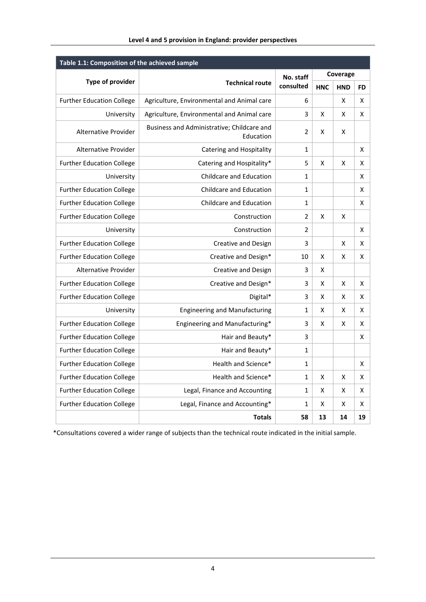| Table 1.1: Composition of the achieved sample |                                                         |                        |            |            |           |  |  |  |
|-----------------------------------------------|---------------------------------------------------------|------------------------|------------|------------|-----------|--|--|--|
|                                               | <b>Technical route</b>                                  | No. staff<br>consulted | Coverage   |            |           |  |  |  |
| <b>Type of provider</b>                       |                                                         |                        | <b>HNC</b> | <b>HND</b> | <b>FD</b> |  |  |  |
| <b>Further Education College</b>              | Agriculture, Environmental and Animal care              | 6                      |            | X          | X         |  |  |  |
| University                                    | Agriculture, Environmental and Animal care              | 3                      | X          | X          | X         |  |  |  |
| Alternative Provider                          | Business and Administrative; Childcare and<br>Education | 2                      | X          | X          |           |  |  |  |
| Alternative Provider                          | <b>Catering and Hospitality</b>                         | $\mathbf{1}$           |            |            | X         |  |  |  |
| <b>Further Education College</b>              | Catering and Hospitality*                               | 5                      | X          | X          | X         |  |  |  |
| University                                    | <b>Childcare and Education</b>                          | $\mathbf{1}$           |            |            | X         |  |  |  |
| <b>Further Education College</b>              | <b>Childcare and Education</b>                          | 1                      |            |            | X         |  |  |  |
| <b>Further Education College</b>              | <b>Childcare and Education</b>                          | 1                      |            |            | X         |  |  |  |
| <b>Further Education College</b>              | Construction                                            | $\mathfrak{p}$         | X          | X          |           |  |  |  |
| University                                    | Construction                                            | 2                      |            |            | X         |  |  |  |
| <b>Further Education College</b>              | <b>Creative and Design</b>                              | 3                      |            | X          | X         |  |  |  |
| <b>Further Education College</b>              | Creative and Design*                                    | 10                     | X          | X          | X         |  |  |  |
| <b>Alternative Provider</b>                   | Creative and Design                                     | 3                      | X          |            |           |  |  |  |
| <b>Further Education College</b>              | Creative and Design*                                    | 3                      | Χ          | X          | X         |  |  |  |
| <b>Further Education College</b>              | Digital*                                                | 3                      | X          | X          | X         |  |  |  |
| University                                    | <b>Engineering and Manufacturing</b>                    | 1                      | X          | X          | X         |  |  |  |
| <b>Further Education College</b>              | Engineering and Manufacturing*                          | 3                      | X          | X          | X         |  |  |  |
| <b>Further Education College</b>              | Hair and Beauty*                                        | 3                      |            |            | X         |  |  |  |
| <b>Further Education College</b>              | Hair and Beauty*                                        | 1                      |            |            |           |  |  |  |
| <b>Further Education College</b>              | Health and Science*                                     | 1                      |            |            | X         |  |  |  |
| <b>Further Education College</b>              | Health and Science*                                     | $\mathbf{1}$           | X          | X          | X         |  |  |  |
| <b>Further Education College</b>              | Legal, Finance and Accounting                           | 1                      | X          | х          | х         |  |  |  |
| <b>Further Education College</b>              | Legal, Finance and Accounting*                          | 1                      | X          | X          | X         |  |  |  |
|                                               | <b>Totals</b>                                           | 58                     | 13         | 14         | 19        |  |  |  |

\*Consultations covered a wider range of subjects than the technical route indicated in the initial sample.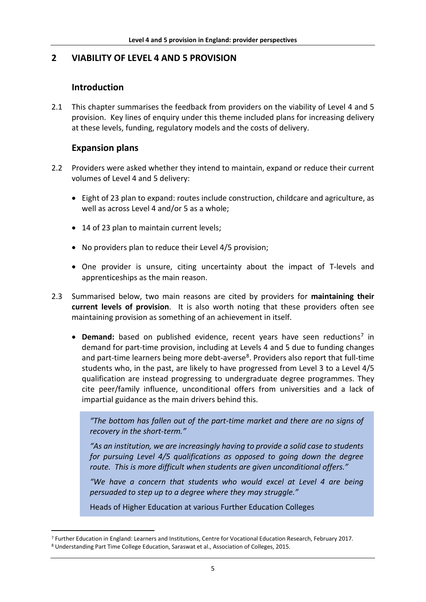# **2 VIABILITY OF LEVEL 4 AND 5 PROVISION**

# **Introduction**

2.1 This chapter summarises the feedback from providers on the viability of Level 4 and 5 provision. Key lines of enquiry under this theme included plans for increasing delivery at these levels, funding, regulatory models and the costs of delivery.

## **Expansion plans**

- 2.2 Providers were asked whether they intend to maintain, expand or reduce their current volumes of Level 4 and 5 delivery:
	- Eight of 23 plan to expand: routes include construction, childcare and agriculture, as well as across Level 4 and/or 5 as a whole;
	- 14 of 23 plan to maintain current levels;
	- No providers plan to reduce their Level 4/5 provision;
	- One provider is unsure, citing uncertainty about the impact of T-levels and apprenticeships as the main reason.
- 2.3 Summarised below, two main reasons are cited by providers for **maintaining their current levels of provision**. It is also worth noting that these providers often see maintaining provision as something of an achievement in itself.
	- **Demand:** based on published evidence, recent years have seen reductions<sup>[7](#page-12-0)</sup> in demand for part-time provision, including at Levels 4 and 5 due to funding changes and part-time learners being more debt-averse $8$ . Providers also report that full-time students who, in the past, are likely to have progressed from Level 3 to a Level 4/5 qualification are instead progressing to undergraduate degree programmes. They cite peer/family influence, unconditional offers from universities and a lack of impartial guidance as the main drivers behind this.

*"The bottom has fallen out of the part-time market and there are no signs of recovery in the short-term."*

*"As an institution, we are increasingly having to provide a solid case to students for pursuing Level 4/5 qualifications as opposed to going down the degree route. This is more difficult when students are given unconditional offers."*

*"We have a concern that students who would excel at Level 4 are being persuaded to step up to a degree where they may struggle."*

Heads of Higher Education at various Further Education Colleges

<span id="page-12-0"></span> <sup>7</sup> Further Education in England: Learners and Institutions, Centre for Vocational Education Research, February 2017.

<span id="page-12-1"></span><sup>8</sup> Understanding Part Time College Education, Saraswat et al., Association of Colleges, 2015.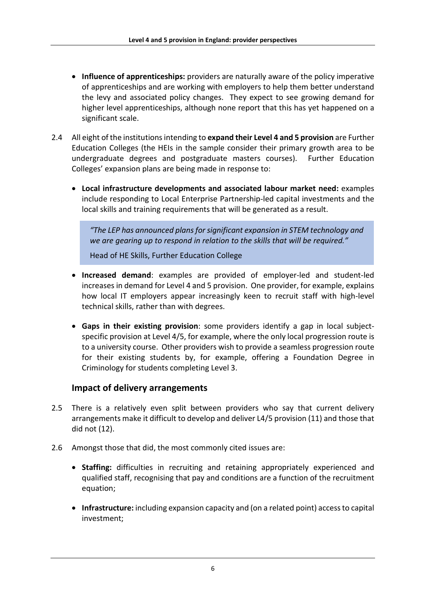- **Influence of apprenticeships:** providers are naturally aware of the policy imperative of apprenticeships and are working with employers to help them better understand the levy and associated policy changes. They expect to see growing demand for higher level apprenticeships, although none report that this has yet happened on a significant scale.
- 2.4 All eight of the institutions intending to **expand their Level 4 and 5 provision** are Further Education Colleges (the HEIs in the sample consider their primary growth area to be undergraduate degrees and postgraduate masters courses). Further Education Colleges' expansion plans are being made in response to:
	- **Local infrastructure developments and associated labour market need:** examples include responding to Local Enterprise Partnership-led capital investments and the local skills and training requirements that will be generated as a result.

*"The LEP has announced plans for significant expansion in STEM technology and we are gearing up to respond in relation to the skills that will be required."* 

Head of HE Skills, Further Education College

- **Increased demand**: examples are provided of employer-led and student-led increases in demand for Level 4 and 5 provision. One provider, for example, explains how local IT employers appear increasingly keen to recruit staff with high-level technical skills, rather than with degrees.
- **Gaps in their existing provision**: some providers identify a gap in local subjectspecific provision at Level 4/5, for example, where the only local progression route is to a university course. Other providers wish to provide a seamless progression route for their existing students by, for example, offering a Foundation Degree in Criminology for students completing Level 3.

# **Impact of delivery arrangements**

- 2.5 There is a relatively even split between providers who say that current delivery arrangements make it difficult to develop and deliver L4/5 provision (11) and those that did not (12).
- 2.6 Amongst those that did, the most commonly cited issues are:
	- **Staffing:** difficulties in recruiting and retaining appropriately experienced and qualified staff, recognising that pay and conditions are a function of the recruitment equation;
	- **Infrastructure:** including expansion capacity and (on a related point) access to capital investment;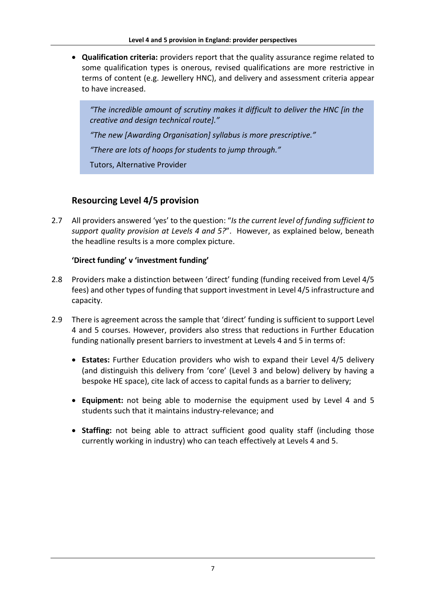• **Qualification criteria:** providers report that the quality assurance regime related to some qualification types is onerous, revised qualifications are more restrictive in terms of content (e.g. Jewellery HNC), and delivery and assessment criteria appear to have increased.

*"The incredible amount of scrutiny makes it difficult to deliver the HNC [in the creative and design technical route]."*

*"The new [Awarding Organisation] syllabus is more prescriptive."*

*"There are lots of hoops for students to jump through."* 

Tutors, Alternative Provider

# **Resourcing Level 4/5 provision**

2.7 All providers answered 'yes' to the question: "*Is the current level of funding sufficient to support quality provision at Levels 4 and 5?*". However, as explained below, beneath the headline results is a more complex picture.

#### **'Direct funding' v 'investment funding'**

- 2.8 Providers make a distinction between 'direct' funding (funding received from Level 4/5 fees) and other types of funding that support investment in Level 4/5 infrastructure and capacity.
- 2.9 There is agreement across the sample that 'direct' funding is sufficient to support Level 4 and 5 courses. However, providers also stress that reductions in Further Education funding nationally present barriers to investment at Levels 4 and 5 in terms of:
	- **Estates:** Further Education providers who wish to expand their Level 4/5 delivery (and distinguish this delivery from 'core' (Level 3 and below) delivery by having a bespoke HE space), cite lack of access to capital funds as a barrier to delivery;
	- **Equipment:** not being able to modernise the equipment used by Level 4 and 5 students such that it maintains industry-relevance; and
	- **Staffing:** not being able to attract sufficient good quality staff (including those currently working in industry) who can teach effectively at Levels 4 and 5.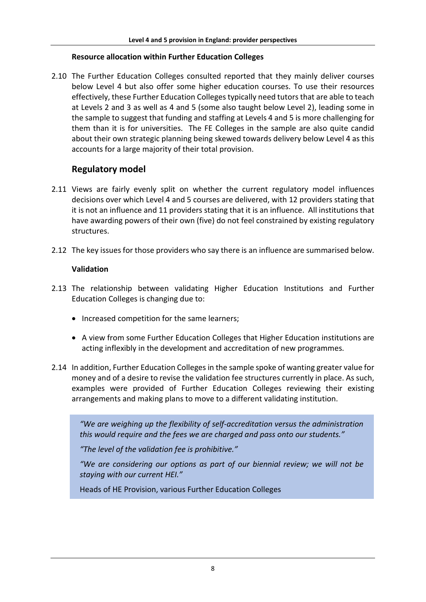#### **Resource allocation within Further Education Colleges**

2.10 The Further Education Colleges consulted reported that they mainly deliver courses below Level 4 but also offer some higher education courses. To use their resources effectively, these Further Education Collegestypically need tutors that are able to teach at Levels 2 and 3 as well as 4 and 5 (some also taught below Level 2), leading some in the sample to suggest that funding and staffing at Levels 4 and 5 is more challenging for them than it is for universities. The FE Colleges in the sample are also quite candid about their own strategic planning being skewed towards delivery below Level 4 as this accounts for a large majority of their total provision.

# **Regulatory model**

- 2.11 Views are fairly evenly split on whether the current regulatory model influences decisions over which Level 4 and 5 courses are delivered, with 12 providers stating that it is not an influence and 11 providers stating that it is an influence. All institutions that have awarding powers of their own (five) do not feel constrained by existing regulatory structures.
- 2.12 The key issues for those providers who say there is an influence are summarised below.

#### **Validation**

- 2.13 The relationship between validating Higher Education Institutions and Further Education Colleges is changing due to:
	- Increased competition for the same learners;
	- A view from some Further Education Colleges that Higher Education institutions are acting inflexibly in the development and accreditation of new programmes.
- 2.14 In addition, Further Education Colleges in the sample spoke of wanting greater value for money and of a desire to revise the validation fee structures currently in place. As such, examples were provided of Further Education Colleges reviewing their existing arrangements and making plans to move to a different validating institution.

*"We are weighing up the flexibility of self-accreditation versus the administration this would require and the fees we are charged and pass onto our students."*

*"The level of the validation fee is prohibitive."*

*"We are considering our options as part of our biennial review; we will not be staying with our current HEI."*

Heads of HE Provision, various Further Education Colleges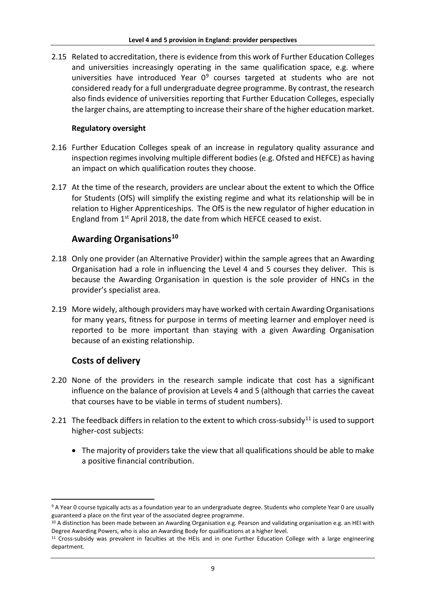2.15 Related to accreditation, there is evidence from this work of Further Education Colleges and universities increasingly operating in the same qualification space, e.g. where universities have introduced Year  $0^9$  $0^9$  courses targeted at students who are not considered ready for a full undergraduate degree programme. By contrast, the research also finds evidence of universities reporting that Further Education Colleges, especially the larger chains, are attempting to increase their share of the higher education market.

#### **Regulatory oversight**

- 2.16 Further Education Colleges speak of an increase in regulatory quality assurance and inspection regimes involving multiple different bodies (e.g. Ofsted and HEFCE) as having an impact on which qualification routes they choose.
- 2.17 At the time of the research, providers are unclear about the extent to which the Office for Students (OfS) will simplify the existing regime and what its relationship will be in relation to Higher Apprenticeships. The OfS is the new regulator of higher education in England from 1st April 2018, the date from which HEFCE ceased to exist.

## **Awarding Organisations[10](#page-16-1)**

- 2.18 Only one provider (an Alternative Provider) within the sample agrees that an Awarding Organisation had a role in influencing the Level 4 and 5 courses they deliver. This is because the Awarding Organisation in question is the sole provider of HNCs in the provider's specialist area.
- 2.19 More widely, although providers may have worked with certain Awarding Organisations for many years, fitness for purpose in terms of meeting learner and employer need is reported to be more important than staying with a given Awarding Organisation because of an existing relationship.

# **Costs of delivery**

- 2.20 None of the providers in the research sample indicate that cost has a significant influence on the balance of provision at Levels 4 and 5 (although that carries the caveat that courses have to be viable in terms of student numbers).
- 2.21 The feedback differs in relation to the extent to which cross-subsidy<sup>[11](#page-16-2)</sup> is used to support higher-cost subjects:
	- The majority of providers take the view that all qualifications should be able to make a positive financial contribution.

<span id="page-16-0"></span> <sup>9</sup> A Year 0 course typically acts as a foundation year to an undergraduate degree. Students who complete Year 0 are usually guaranteed a place on the first year of the associated degree programme.

<span id="page-16-1"></span><sup>&</sup>lt;sup>10</sup> A distinction has been made between an Awarding Organisation e.g. Pearson and validating organisation e.g. an HEI with Degree Awarding Powers, who is also an Awarding Body for qualifications at a higher level.

<span id="page-16-2"></span><sup>11</sup> Cross-subsidy was prevalent in faculties at the HEIs and in one Further Education College with a large engineering department.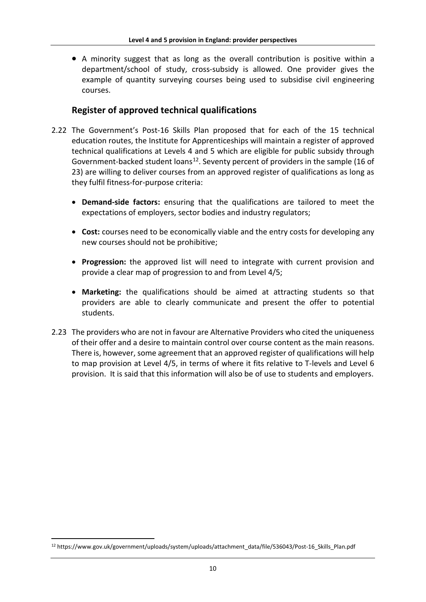• A minority suggest that as long as the overall contribution is positive within a department/school of study, cross-subsidy is allowed. One provider gives the example of quantity surveying courses being used to subsidise civil engineering courses.

# **Register of approved technical qualifications**

- 2.22 The Government's Post-16 Skills Plan proposed that for each of the 15 technical education routes, the Institute for Apprenticeships will maintain a register of approved technical qualifications at Levels 4 and 5 which are eligible for public subsidy through Government-backed student loans<sup>12</sup>. Seventy percent of providers in the sample (16 of 23) are willing to deliver courses from an approved register of qualifications as long as they fulfil fitness-for-purpose criteria:
	- **Demand-side factors:** ensuring that the qualifications are tailored to meet the expectations of employers, sector bodies and industry regulators;
	- **Cost:** courses need to be economically viable and the entry costs for developing any new courses should not be prohibitive;
	- **Progression:** the approved list will need to integrate with current provision and provide a clear map of progression to and from Level 4/5;
	- **Marketing:** the qualifications should be aimed at attracting students so that providers are able to clearly communicate and present the offer to potential students.
- 2.23 The providers who are not in favour are Alternative Providers who cited the uniqueness of their offer and a desire to maintain control over course content as the main reasons. There is, however, some agreement that an approved register of qualifications will help to map provision at Level 4/5, in terms of where it fits relative to T-levels and Level 6 provision. It is said that this information will also be of use to students and employers.

<span id="page-17-0"></span> <sup>12</sup> https://www.gov.uk/government/uploads/system/uploads/attachment\_data/file/536043/Post-16\_Skills\_Plan.pdf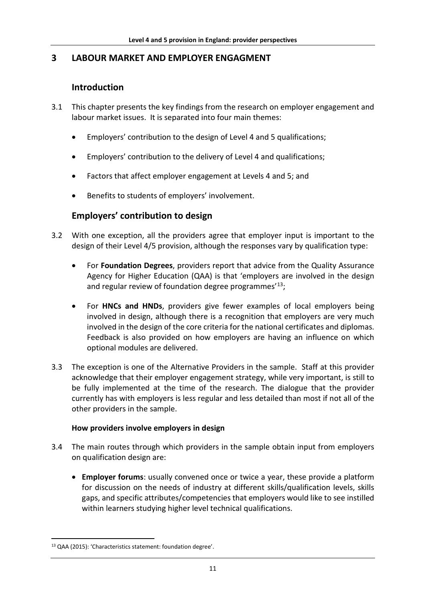# **3 LABOUR MARKET AND EMPLOYER ENGAGMENT**

# **Introduction**

- 3.1 This chapter presents the key findings from the research on employer engagement and labour market issues. It is separated into four main themes:
	- Employers' contribution to the design of Level 4 and 5 qualifications;
	- Employers' contribution to the delivery of Level 4 and qualifications;
	- Factors that affect employer engagement at Levels 4 and 5; and
	- Benefits to students of employers' involvement.

# **Employers' contribution to design**

- 3.2 With one exception, all the providers agree that employer input is important to the design of their Level 4/5 provision, although the responses vary by qualification type:
	- For **Foundation Degrees**, providers report that advice from the Quality Assurance Agency for Higher Education (QAA) is that 'employers are involved in the design and regular review of foundation degree programmes<sup>'[13](#page-18-0)</sup>;
	- For **HNCs and HNDs**, providers give fewer examples of local employers being involved in design, although there is a recognition that employers are very much involved in the design of the core criteria for the national certificates and diplomas. Feedback is also provided on how employers are having an influence on which optional modules are delivered.
- 3.3 The exception is one of the Alternative Providers in the sample. Staff at this provider acknowledge that their employer engagement strategy, while very important, is still to be fully implemented at the time of the research. The dialogue that the provider currently has with employers is less regular and less detailed than most if not all of the other providers in the sample.

#### **How providers involve employers in design**

- 3.4 The main routes through which providers in the sample obtain input from employers on qualification design are:
	- **Employer forums**: usually convened once or twice a year, these provide a platform for discussion on the needs of industry at different skills/qualification levels, skills gaps, and specific attributes/competencies that employers would like to see instilled within learners studying higher level technical qualifications.

<span id="page-18-0"></span> <sup>13</sup> QAA (2015): 'Characteristics statement: foundation degree'.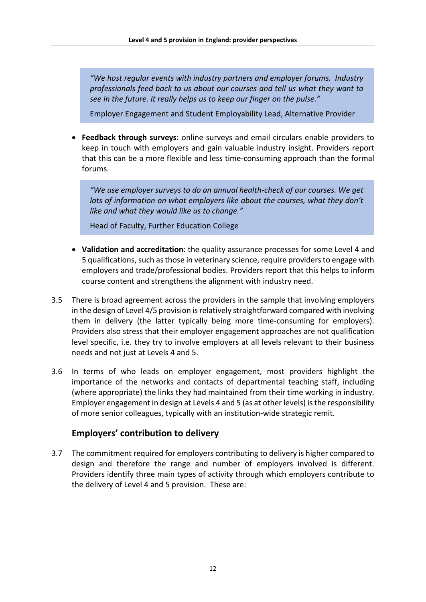*"We host regular events with industry partners and employer forums. Industry professionals feed back to us about our courses and tell us what they want to see in the future. It really helps us to keep our finger on the pulse."* 

Employer Engagement and Student Employability Lead, Alternative Provider

• **Feedback through surveys**: online surveys and email circulars enable providers to keep in touch with employers and gain valuable industry insight. Providers report that this can be a more flexible and less time-consuming approach than the formal forums.

*"We use employer surveys to do an annual health-check of our courses. We get lots of information on what employers like about the courses, what they don't like and what they would like us to change."* 

Head of Faculty, Further Education College

- **Validation and accreditation**: the quality assurance processes for some Level 4 and 5 qualifications, such as those in veterinary science, require providers to engage with employers and trade/professional bodies. Providers report that this helps to inform course content and strengthens the alignment with industry need.
- 3.5 There is broad agreement across the providers in the sample that involving employers in the design of Level 4/5 provision is relatively straightforward compared with involving them in delivery (the latter typically being more time-consuming for employers). Providers also stress that their employer engagement approaches are not qualification level specific, i.e. they try to involve employers at all levels relevant to their business needs and not just at Levels 4 and 5.
- 3.6 In terms of who leads on employer engagement, most providers highlight the importance of the networks and contacts of departmental teaching staff, including (where appropriate) the links they had maintained from their time working in industry. Employer engagement in design at Levels 4 and 5 (as at other levels) is the responsibility of more senior colleagues, typically with an institution-wide strategic remit.

## **Employers' contribution to delivery**

3.7 The commitment required for employers contributing to delivery is higher compared to design and therefore the range and number of employers involved is different. Providers identify three main types of activity through which employers contribute to the delivery of Level 4 and 5 provision. These are: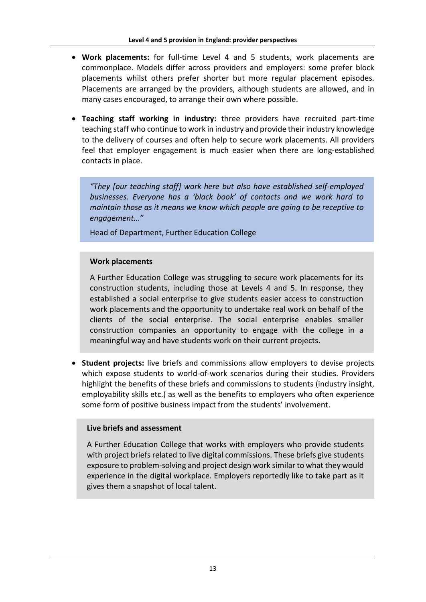- **Work placements:** for full-time Level 4 and 5 students, work placements are commonplace. Models differ across providers and employers: some prefer block placements whilst others prefer shorter but more regular placement episodes. Placements are arranged by the providers, although students are allowed, and in many cases encouraged, to arrange their own where possible.
- **Teaching staff working in industry:** three providers have recruited part-time teaching staff who continue to work in industry and provide their industry knowledge to the delivery of courses and often help to secure work placements. All providers feel that employer engagement is much easier when there are long-established contacts in place.

*"They [our teaching staff] work here but also have established self-employed businesses. Everyone has a 'black book' of contacts and we work hard to maintain those as it means we know which people are going to be receptive to engagement…"*

Head of Department, Further Education College

#### **Work placements**

A Further Education College was struggling to secure work placements for its construction students, including those at Levels 4 and 5. In response, they established a social enterprise to give students easier access to construction work placements and the opportunity to undertake real work on behalf of the clients of the social enterprise. The social enterprise enables smaller construction companies an opportunity to engage with the college in a meaningful way and have students work on their current projects.

• **Student projects:** live briefs and commissions allow employers to devise projects which expose students to world-of-work scenarios during their studies. Providers highlight the benefits of these briefs and commissions to students (industry insight, employability skills etc.) as well as the benefits to employers who often experience some form of positive business impact from the students' involvement.

#### **Live briefs and assessment**

A Further Education College that works with employers who provide students with project briefs related to live digital commissions. These briefs give students exposure to problem-solving and project design work similar to what they would experience in the digital workplace. Employers reportedly like to take part as it gives them a snapshot of local talent.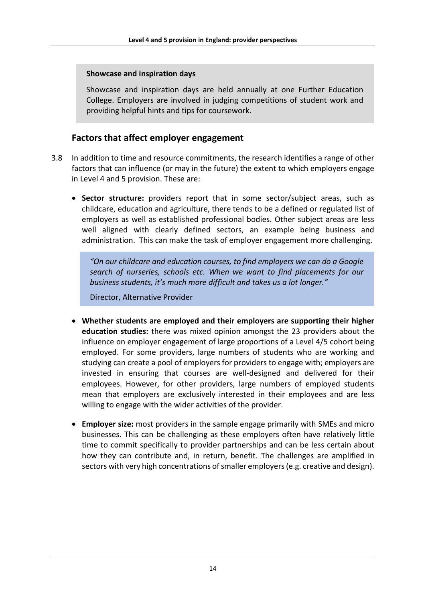#### **Showcase and inspiration days**

Showcase and inspiration days are held annually at one Further Education College. Employers are involved in judging competitions of student work and providing helpful hints and tips for coursework.

## **Factors that affect employer engagement**

- 3.8 In addition to time and resource commitments, the research identifies a range of other factors that can influence (or may in the future) the extent to which employers engage in Level 4 and 5 provision. These are:
	- **Sector structure:** providers report that in some sector/subject areas, such as childcare, education and agriculture, there tends to be a defined or regulated list of employers as well as established professional bodies. Other subject areas are less well aligned with clearly defined sectors, an example being business and administration. This can make the task of employer engagement more challenging.

*"On our childcare and education courses, to find employers we can do a Google search of nurseries, schools etc. When we want to find placements for our business students, it's much more difficult and takes us a lot longer."* 

Director, Alternative Provider

- **Whether students are employed and their employers are supporting their higher education studies:** there was mixed opinion amongst the 23 providers about the influence on employer engagement of large proportions of a Level 4/5 cohort being employed. For some providers, large numbers of students who are working and studying can create a pool of employers for providers to engage with; employers are invested in ensuring that courses are well-designed and delivered for their employees. However, for other providers, large numbers of employed students mean that employers are exclusively interested in their employees and are less willing to engage with the wider activities of the provider.
- **Employer size:** most providers in the sample engage primarily with SMEs and micro businesses. This can be challenging as these employers often have relatively little time to commit specifically to provider partnerships and can be less certain about how they can contribute and, in return, benefit. The challenges are amplified in sectors with very high concentrations of smaller employers (e.g. creative and design).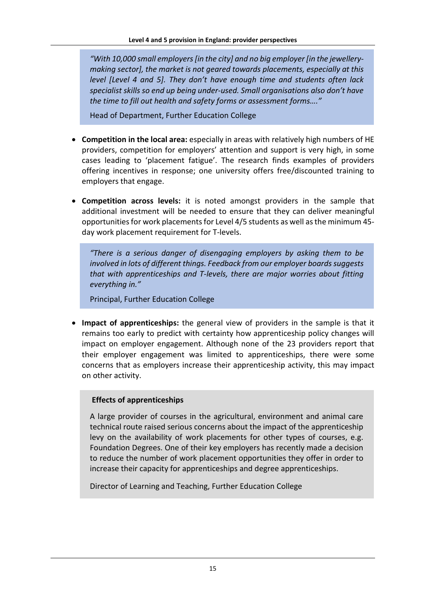*"With 10,000 small employers [in the city] and no big employer [in the jewellerymaking sector], the market is not geared towards placements, especially at this level [Level 4 and 5]. They don't have enough time and students often lack specialist skills so end up being under-used. Small organisations also don't have the time to fill out health and safety forms or assessment forms…."*

Head of Department, Further Education College

- **Competition in the local area:** especially in areas with relatively high numbers of HE providers, competition for employers' attention and support is very high, in some cases leading to 'placement fatigue'. The research finds examples of providers offering incentives in response; one university offers free/discounted training to employers that engage.
- **Competition across levels:** it is noted amongst providers in the sample that additional investment will be needed to ensure that they can deliver meaningful opportunities for work placements for Level 4/5 students as well asthe minimum 45 day work placement requirement for T-levels.

*"There is a serious danger of disengaging employers by asking them to be involved in lots of different things. Feedback from our employer boards suggests that with apprenticeships and T-levels, there are major worries about fitting everything in."* 

Principal, Further Education College

• **Impact of apprenticeships:** the general view of providers in the sample is that it remains too early to predict with certainty how apprenticeship policy changes will impact on employer engagement. Although none of the 23 providers report that their employer engagement was limited to apprenticeships, there were some concerns that as employers increase their apprenticeship activity, this may impact on other activity.

#### **Effects of apprenticeships**

A large provider of courses in the agricultural, environment and animal care technical route raised serious concerns about the impact of the apprenticeship levy on the availability of work placements for other types of courses, e.g. Foundation Degrees. One of their key employers has recently made a decision to reduce the number of work placement opportunities they offer in order to increase their capacity for apprenticeships and degree apprenticeships.

Director of Learning and Teaching, Further Education College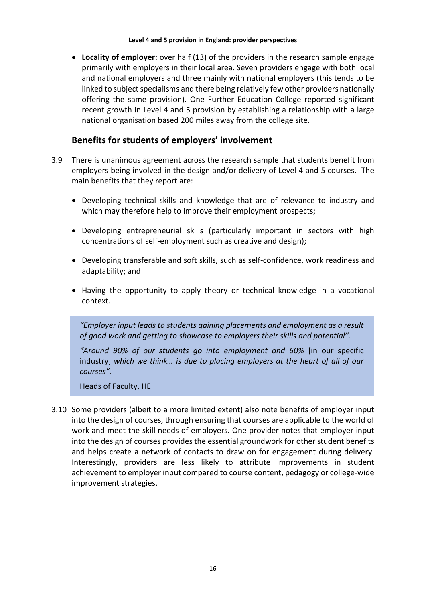• **Locality of employer:** over half (13) of the providers in the research sample engage primarily with employers in their local area. Seven providers engage with both local and national employers and three mainly with national employers (this tends to be linked to subject specialisms and there being relatively few other providers nationally offering the same provision). One Further Education College reported significant recent growth in Level 4 and 5 provision by establishing a relationship with a large national organisation based 200 miles away from the college site.

# **Benefits for students of employers' involvement**

- 3.9 There is unanimous agreement across the research sample that students benefit from employers being involved in the design and/or delivery of Level 4 and 5 courses. The main benefits that they report are:
	- Developing technical skills and knowledge that are of relevance to industry and which may therefore help to improve their employment prospects;
	- Developing entrepreneurial skills (particularly important in sectors with high concentrations of self-employment such as creative and design);
	- Developing transferable and soft skills, such as self-confidence, work readiness and adaptability; and
	- Having the opportunity to apply theory or technical knowledge in a vocational context.

*"Employer input leads to students gaining placements and employment as a result of good work and getting to showcase to employers their skills and potential".*

*"Around 90% of our students go into employment and 60%* [in our specific industry] *which we think… is due to placing employers at the heart of all of our courses".* 

Heads of Faculty, HEI

3.10 Some providers (albeit to a more limited extent) also note benefits of employer input into the design of courses, through ensuring that courses are applicable to the world of work and meet the skill needs of employers. One provider notes that employer input into the design of courses provides the essential groundwork for other student benefits and helps create a network of contacts to draw on for engagement during delivery. Interestingly, providers are less likely to attribute improvements in student achievement to employer input compared to course content, pedagogy or college-wide improvement strategies.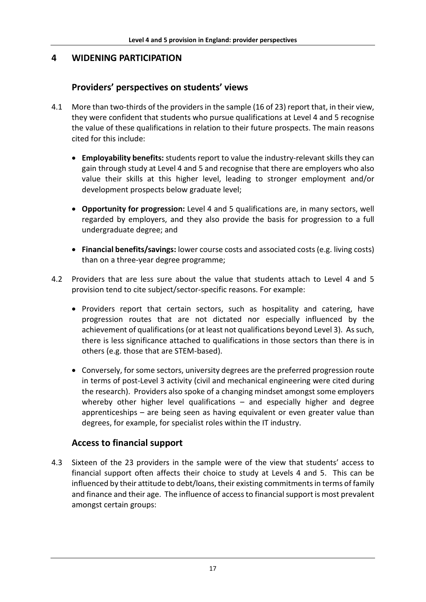# **4 WIDENING PARTICIPATION**

# **Providers' perspectives on students' views**

- 4.1 More than two-thirds of the providers in the sample (16 of 23) report that, in their view, they were confident that students who pursue qualifications at Level 4 and 5 recognise the value of these qualifications in relation to their future prospects. The main reasons cited for this include:
	- **Employability benefits:** students report to value the industry-relevant skills they can gain through study at Level 4 and 5 and recognise that there are employers who also value their skills at this higher level, leading to stronger employment and/or development prospects below graduate level;
	- **Opportunity for progression:** Level 4 and 5 qualifications are, in many sectors, well regarded by employers, and they also provide the basis for progression to a full undergraduate degree; and
	- **Financial benefits/savings:** lower course costs and associated costs (e.g. living costs) than on a three-year degree programme;
- 4.2 Providers that are less sure about the value that students attach to Level 4 and 5 provision tend to cite subject/sector-specific reasons. For example:
	- Providers report that certain sectors, such as hospitality and catering, have progression routes that are not dictated nor especially influenced by the achievement of qualifications (or at least not qualifications beyond Level 3). As such, there is less significance attached to qualifications in those sectors than there is in others (e.g. those that are STEM-based).
	- Conversely, for some sectors, university degrees are the preferred progression route in terms of post-Level 3 activity (civil and mechanical engineering were cited during the research). Providers also spoke of a changing mindset amongst some employers whereby other higher level qualifications – and especially higher and degree apprenticeships – are being seen as having equivalent or even greater value than degrees, for example, for specialist roles within the IT industry.

# **Access to financial support**

4.3 Sixteen of the 23 providers in the sample were of the view that students' access to financial support often affects their choice to study at Levels 4 and 5. This can be influenced by their attitude to debt/loans, their existing commitments in terms of family and finance and their age. The influence of access to financial support is most prevalent amongst certain groups: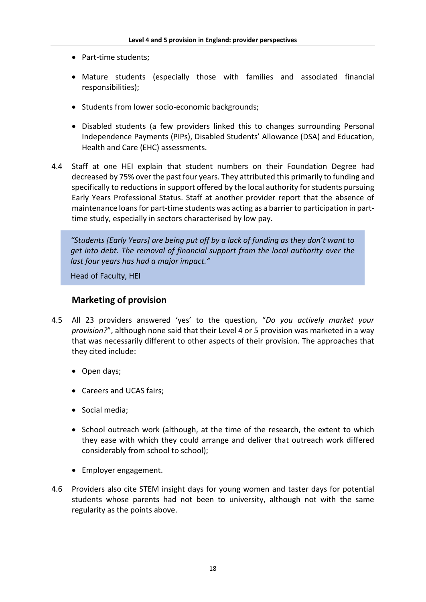- Part-time students;
- Mature students (especially those with families and associated financial responsibilities);
- Students from lower socio-economic backgrounds;
- Disabled students (a few providers linked this to changes surrounding Personal Independence Payments (PIPs), Disabled Students' Allowance (DSA) and Education, Health and Care (EHC) assessments.
- 4.4 Staff at one HEI explain that student numbers on their Foundation Degree had decreased by 75% over the past four years. They attributed this primarily to funding and specifically to reductions in support offered by the local authority for students pursuing Early Years Professional Status. Staff at another provider report that the absence of maintenance loans for part-time students was acting as a barrier to participation in parttime study, especially in sectors characterised by low pay.

*"Students [Early Years] are being put off by a lack of funding as they don't want to get into debt. The removal of financial support from the local authority over the last four years has had a major impact."* 

Head of Faculty, HEI

## **Marketing of provision**

- 4.5 All 23 providers answered 'yes' to the question, "*Do you actively market your provision?*", although none said that their Level 4 or 5 provision was marketed in a way that was necessarily different to other aspects of their provision. The approaches that they cited include:
	- Open days;
	- Careers and UCAS fairs;
	- Social media;
	- School outreach work (although, at the time of the research, the extent to which they ease with which they could arrange and deliver that outreach work differed considerably from school to school);
	- Employer engagement.
- 4.6 Providers also cite STEM insight days for young women and taster days for potential students whose parents had not been to university, although not with the same regularity as the points above.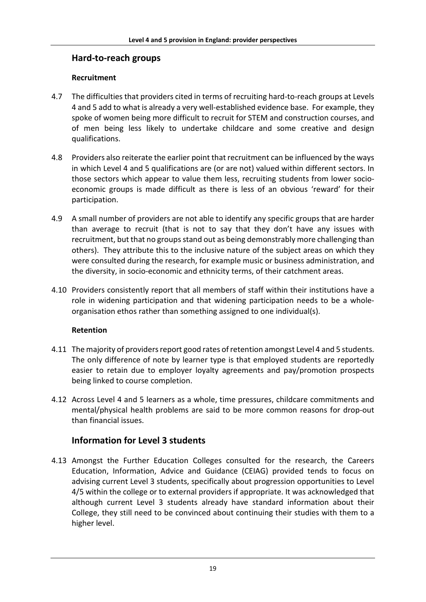# **Hard-to-reach groups**

# **Recruitment**

- 4.7 The difficulties that providers cited in terms of recruiting hard-to-reach groups at Levels 4 and 5 add to what is already a very well-established evidence base. For example, they spoke of women being more difficult to recruit for STEM and construction courses, and of men being less likely to undertake childcare and some creative and design qualifications.
- 4.8 Providers also reiterate the earlier point that recruitment can be influenced by the ways in which Level 4 and 5 qualifications are (or are not) valued within different sectors. In those sectors which appear to value them less, recruiting students from lower socioeconomic groups is made difficult as there is less of an obvious 'reward' for their participation.
- 4.9 A small number of providers are not able to identify any specific groups that are harder than average to recruit (that is not to say that they don't have any issues with recruitment, but that no groups stand out as being demonstrably more challenging than others). They attribute this to the inclusive nature of the subject areas on which they were consulted during the research, for example music or business administration, and the diversity, in socio-economic and ethnicity terms, of their catchment areas.
- 4.10 Providers consistently report that all members of staff within their institutions have a role in widening participation and that widening participation needs to be a wholeorganisation ethos rather than something assigned to one individual(s).

## **Retention**

- 4.11 The majority of providers report good rates of retention amongst Level 4 and 5 students. The only difference of note by learner type is that employed students are reportedly easier to retain due to employer loyalty agreements and pay/promotion prospects being linked to course completion.
- 4.12 Across Level 4 and 5 learners as a whole, time pressures, childcare commitments and mental/physical health problems are said to be more common reasons for drop-out than financial issues.

# **Information for Level 3 students**

4.13 Amongst the Further Education Colleges consulted for the research, the Careers Education, Information, Advice and Guidance (CEIAG) provided tends to focus on advising current Level 3 students, specifically about progression opportunities to Level 4/5 within the college or to external providers if appropriate. It was acknowledged that although current Level 3 students already have standard information about their College, they still need to be convinced about continuing their studies with them to a higher level.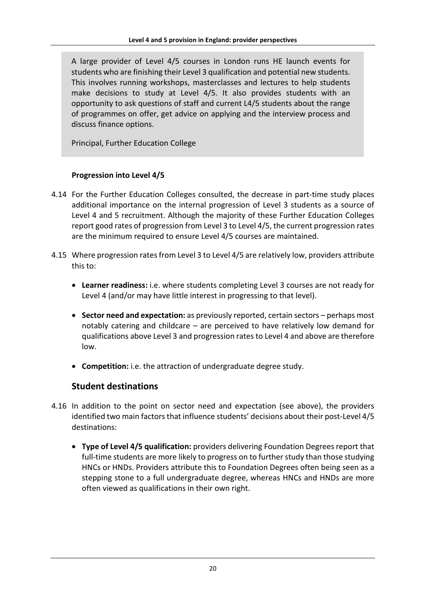A large provider of Level 4/5 courses in London runs HE launch events for students who are finishing their Level 3 qualification and potential new students. This involves running workshops, masterclasses and lectures to help students make decisions to study at Level 4/5. It also provides students with an opportunity to ask questions of staff and current L4/5 students about the range of programmes on offer, get advice on applying and the interview process and discuss finance options.

Principal, Further Education College

#### **Progression into Level 4/5**

- 4.14 For the Further Education Colleges consulted, the decrease in part-time study places additional importance on the internal progression of Level 3 students as a source of Level 4 and 5 recruitment. Although the majority of these Further Education Colleges report good rates of progression from Level 3 to Level 4/5, the current progression rates are the minimum required to ensure Level 4/5 courses are maintained.
- 4.15 Where progression ratesfrom Level 3 to Level 4/5 are relatively low, providers attribute this to:
	- **Learner readiness:** i.e. where students completing Level 3 courses are not ready for Level 4 (and/or may have little interest in progressing to that level).
	- **Sector need and expectation:** as previously reported, certain sectors perhaps most notably catering and childcare – are perceived to have relatively low demand for qualifications above Level 3 and progression rates to Level 4 and above are therefore low.
	- **Competition:** i.e. the attraction of undergraduate degree study.

# **Student destinations**

- 4.16 In addition to the point on sector need and expectation (see above), the providers identified two main factors that influence students' decisions about their post-Level 4/5 destinations:
	- **Type of Level 4/5 qualification:** providers delivering Foundation Degrees report that full-time students are more likely to progress on to further study than those studying HNCs or HNDs. Providers attribute this to Foundation Degrees often being seen as a stepping stone to a full undergraduate degree, whereas HNCs and HNDs are more often viewed as qualifications in their own right.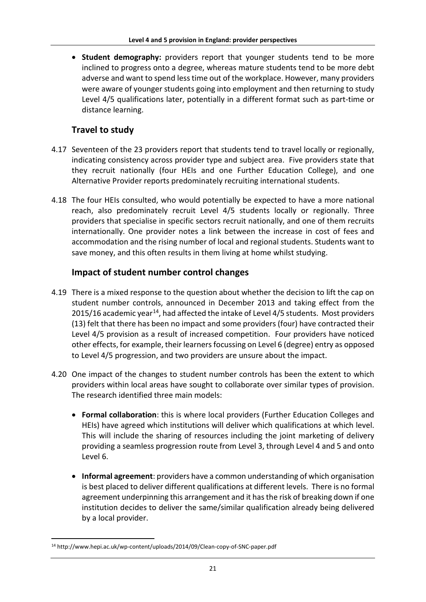• **Student demography:** providers report that younger students tend to be more inclined to progress onto a degree, whereas mature students tend to be more debt adverse and want to spend less time out of the workplace. However, many providers were aware of younger students going into employment and then returning to study Level 4/5 qualifications later, potentially in a different format such as part-time or distance learning.

# **Travel to study**

- 4.17 Seventeen of the 23 providers report that students tend to travel locally or regionally, indicating consistency across provider type and subject area. Five providers state that they recruit nationally (four HEIs and one Further Education College), and one Alternative Provider reports predominately recruiting international students.
- 4.18 The four HEIs consulted, who would potentially be expected to have a more national reach, also predominately recruit Level 4/5 students locally or regionally. Three providers that specialise in specific sectors recruit nationally, and one of them recruits internationally. One provider notes a link between the increase in cost of fees and accommodation and the rising number of local and regional students. Students want to save money, and this often results in them living at home whilst studying.

# **Impact of student number control changes**

- 4.19 There is a mixed response to the question about whether the decision to lift the cap on student number controls, announced in December 2013 and taking effect from the 2015/16 academic year<sup>[14](#page-28-0)</sup>, had affected the intake of Level 4/5 students. Most providers (13) felt that there has been no impact and some providers (four) have contracted their Level 4/5 provision as a result of increased competition. Four providers have noticed other effects, for example, their learners focussing on Level 6 (degree) entry as opposed to Level 4/5 progression, and two providers are unsure about the impact.
- 4.20 One impact of the changes to student number controls has been the extent to which providers within local areas have sought to collaborate over similar types of provision. The research identified three main models:
	- **Formal collaboration**: this is where local providers (Further Education Colleges and HEIs) have agreed which institutions will deliver which qualifications at which level. This will include the sharing of resources including the joint marketing of delivery providing a seamless progression route from Level 3, through Level 4 and 5 and onto Level 6.
	- **Informal agreement**: providers have a common understanding of which organisation is best placed to deliver different qualifications at different levels. There is no formal agreement underpinning this arrangement and it has the risk of breaking down if one institution decides to deliver the same/similar qualification already being delivered by a local provider.

<span id="page-28-0"></span> <sup>14</sup> http://www.hepi.ac.uk/wp-content/uploads/2014/09/Clean-copy-of-SNC-paper.pdf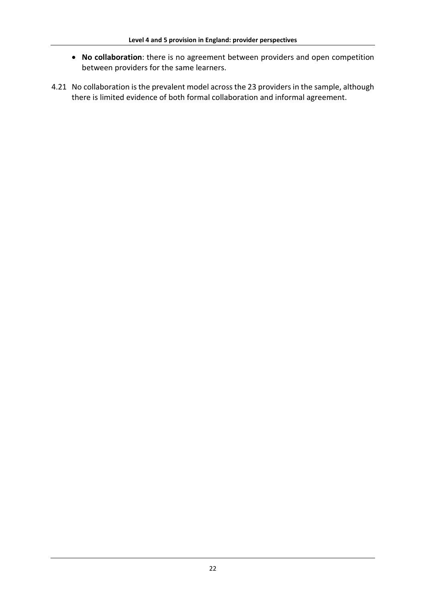- **No collaboration**: there is no agreement between providers and open competition between providers for the same learners.
- 4.21 No collaboration is the prevalent model across the 23 providers in the sample, although there is limited evidence of both formal collaboration and informal agreement.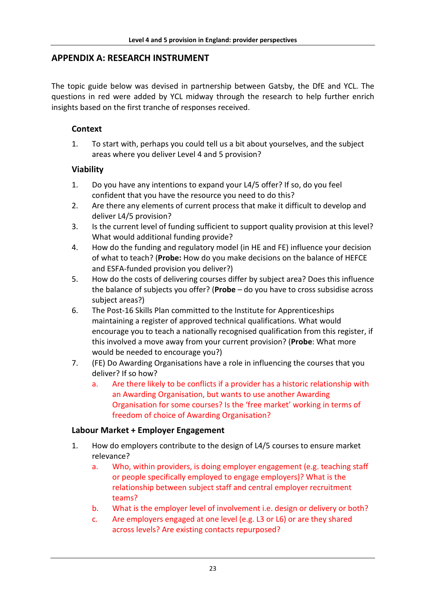# **APPENDIX A: RESEARCH INSTRUMENT**

The topic guide below was devised in partnership between Gatsby, the DfE and YCL. The questions in red were added by YCL midway through the research to help further enrich insights based on the first tranche of responses received.

## **Context**

1. To start with, perhaps you could tell us a bit about yourselves, and the subject areas where you deliver Level 4 and 5 provision?

#### **Viability**

- 1. Do you have any intentions to expand your L4/5 offer? If so, do you feel confident that you have the resource you need to do this?
- 2. Are there any elements of current process that make it difficult to develop and deliver L4/5 provision?
- 3. Is the current level of funding sufficient to support quality provision at this level? What would additional funding provide?
- 4. How do the funding and regulatory model (in HE and FE) influence your decision of what to teach? (**Probe:** How do you make decisions on the balance of HEFCE and ESFA-funded provision you deliver?)
- 5. How do the costs of delivering courses differ by subject area? Does this influence the balance of subjects you offer? (**Probe** – do you have to cross subsidise across subject areas?)
- 6. The Post-16 Skills Plan committed to the Institute for Apprenticeships maintaining a register of approved technical qualifications. What would encourage you to teach a nationally recognised qualification from this register, if this involved a move away from your current provision? (**Probe**: What more would be needed to encourage you?)
- 7. (FE) Do Awarding Organisations have a role in influencing the courses that you deliver? If so how?
	- a. Are there likely to be conflicts if a provider has a historic relationship with an Awarding Organisation, but wants to use another Awarding Organisation for some courses? Is the 'free market' working in terms of freedom of choice of Awarding Organisation?

#### **Labour Market + Employer Engagement**

- 1. How do employers contribute to the design of L4/5 courses to ensure market relevance?
	- a. Who, within providers, is doing employer engagement (e.g. teaching staff or people specifically employed to engage employers)? What is the relationship between subject staff and central employer recruitment teams?
	- b. What is the employer level of involvement i.e. design or delivery or both?
	- c. Are employers engaged at one level (e.g. L3 or L6) or are they shared across levels? Are existing contacts repurposed?